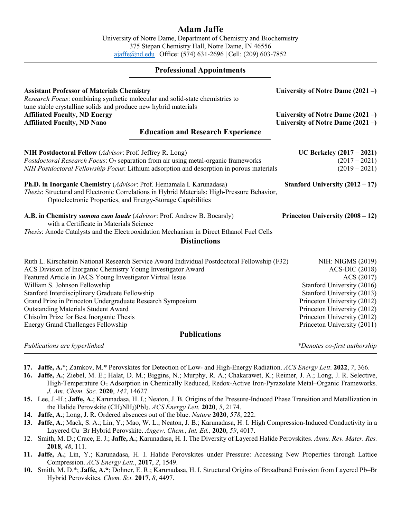# **Adam Jaffe**

University of Notre Dame, Department of Chemistry and Biochemistry 375 Stepan Chemistry Hall, Notre Dame, IN 46556 [ajaffe@nd.edu](mailto:ajaffe@nd.edu) | Office: (574) 631-2696 | Cell: (209) 603-7852

## **Professional Appointments**

| <b>Assistant Professor of Materials Chemistry</b><br>Research Focus: combining synthetic molecular and solid-state chemistries to                                                                                                                                                                                                                                                                                                                                                                               | University of Notre Dame $(2021 -)$                                                                                                                                                                                                              |  |  |
|-----------------------------------------------------------------------------------------------------------------------------------------------------------------------------------------------------------------------------------------------------------------------------------------------------------------------------------------------------------------------------------------------------------------------------------------------------------------------------------------------------------------|--------------------------------------------------------------------------------------------------------------------------------------------------------------------------------------------------------------------------------------------------|--|--|
| tune stable crystalline solids and produce new hybrid materials<br><b>Affiliated Faculty, ND Energy</b><br><b>Affiliated Faculty, ND Nano</b>                                                                                                                                                                                                                                                                                                                                                                   | University of Notre Dame $(2021 -)$<br>University of Notre Dame $(2021 - )$                                                                                                                                                                      |  |  |
| <b>Education and Research Experience</b>                                                                                                                                                                                                                                                                                                                                                                                                                                                                        |                                                                                                                                                                                                                                                  |  |  |
| NIH Postdoctoral Fellow (Advisor: Prof. Jeffrey R. Long)<br>Postdoctoral Research Focus: O <sub>2</sub> separation from air using metal-organic frameworks<br>NIH Postdoctoral Fellowship Focus: Lithium adsorption and desorption in porous materials                                                                                                                                                                                                                                                          | UC Berkeley $(2017 - 2021)$<br>$(2017 - 2021)$<br>$(2019 - 2021)$                                                                                                                                                                                |  |  |
| Ph.D. in Inorganic Chemistry (Advisor: Prof. Hemamala I. Karunadasa)<br>Thesis: Structural and Electronic Correlations in Hybrid Materials: High-Pressure Behavior,<br>Optoelectronic Properties, and Energy-Storage Capabilities                                                                                                                                                                                                                                                                               | Stanford University $(2012 – 17)$                                                                                                                                                                                                                |  |  |
| A.B. in Chemistry summa cum laude (Advisor: Prof. Andrew B. Bocarsly)<br>with a Certificate in Materials Science<br>Thesis: Anode Catalysts and the Electrooxidation Mechanism in Direct Ethanol Fuel Cells<br><b>Distinctions</b>                                                                                                                                                                                                                                                                              | Princeton University (2008 – 12)                                                                                                                                                                                                                 |  |  |
| Ruth L. Kirschstein National Research Service Award Individual Postdoctoral Fellowship (F32)<br>ACS Division of Inorganic Chemistry Young Investigator Award<br>Featured Article in JACS Young Investigator Virtual Issue<br>William S. Johnson Fellowship<br>Stanford Interdisciplinary Graduate Fellowship<br>Grand Prize in Princeton Undergraduate Research Symposium<br><b>Outstanding Materials Student Award</b><br>Chisolm Prize for Best Inorganic Thesis<br><b>Energy Grand Challenges Fellowship</b> | NIH: NIGMS (2019)<br><b>ACS-DIC (2018)</b><br>ACS (2017)<br>Stanford University (2016)<br>Stanford University (2013)<br>Princeton University (2012)<br>Princeton University (2012)<br>Princeton University (2012)<br>Princeton University (2011) |  |  |
| <b>Publications</b>                                                                                                                                                                                                                                                                                                                                                                                                                                                                                             |                                                                                                                                                                                                                                                  |  |  |
| Publications are hyperlinked                                                                                                                                                                                                                                                                                                                                                                                                                                                                                    | *Denotes co-first authorship                                                                                                                                                                                                                     |  |  |

- **17. Jaffe, A.**[\\*; Zamkov, M.\\* Perovskites for Detection of Low-](https://pubs.acs.org/doi/10.1021/acsenergylett.1c02706) and High-Energy Radiation. *ACS Energy Lett*. **2022**, *7*, 366.
- **16. Jaffe, A.**[; Ziebel, M. E.; Halat, D. M.; Biggins, N.; Murphy, R. A.; Chakarawet, K.; Reimer, J. A.; Long, J. R. Selective,](https://pubs.acs.org/doi/abs/10.1021/jacs.0c06570)  High-Temperature O2 [Adsorption in Chemically Reduced, Redox-Active Iron-Pyrazolate Metal–Organic Frameworks.](https://pubs.acs.org/doi/abs/10.1021/jacs.0c06570)  *[J. Am. Chem. Soc.](https://pubs.acs.org/doi/abs/10.1021/jacs.0c06570)* **2020**, *142*, 14627.
- **15.** Lee, J.-H.; **Jaffe, A.**[; Karunadasa, H. I.; Neaton, J. B. Origins of the Pressure-Induced Phase Transition and Metallization in](https://pubs.acs.org/doi/10.1021/acsenergylett.0c00772)  [the Halide Perovskite \(CH3NH3\)PbI3.](https://pubs.acs.org/doi/10.1021/acsenergylett.0c00772) *ACS Energy Lett.* **2020**, *5*, 2174.
- **14. Jaffe, A.**[; Long, J. R. Ordered absences out of the blue.](https://www.nature.com/articles/d41586-020-00329-5) *Nature* **2020**, *578*, 222.
- **13. Jaffe, A.**[; Mack, S. A.; Lin, Y.; Mao, W. L.; Neaton, J. B.; Karunadasa, H. I. High Compression-Induced Conductivity in a](https://onlinelibrary.wiley.com/doi/abs/10.1002/anie.201912575)  [Layered Cu–Br Hybrid Perovskite.](https://onlinelibrary.wiley.com/doi/abs/10.1002/anie.201912575) *Angew. Chem., Int. Ed.,* **2020**, *59*, 4017.
- 12. Smith, M. D.; Crace, E. J.; **Jaffe, A.**[; Karunadasa, H. I. The Diversity of Layered Halide Perovskites.](https://doi.org/10.1146/annurev-matsci-070317-124406) *Annu. Rev. Mater. Res.* **2018**, *48*[, 111.](https://doi.org/10.1146/annurev-matsci-070317-124406)
- **11. Jaffe, A.**[; Lin, Y.; Karunadasa, H. I. Halide Perovskites under Pressure: Accessing New Properties through Lattice](http://dx.doi.org/10.1021/acsenergylett.7b00284)  Compression. *[ACS Energy Lett.](http://dx.doi.org/10.1021/acsenergylett.7b00284)*, **2017**, *2*, 1549.
- **10.** Smith, M. D.\*; **Jaffe, A.\***[; Dohner, E. R.; Karunadasa, H. I. Structural Origins of Broadband Emission from Layered Pb–Br](http://dx.doi.org/10.1039/C7SC01590A)  [Hybrid Perovskites.](http://dx.doi.org/10.1039/C7SC01590A) *Chem. Sci.* **2017**, *8*, 4497.